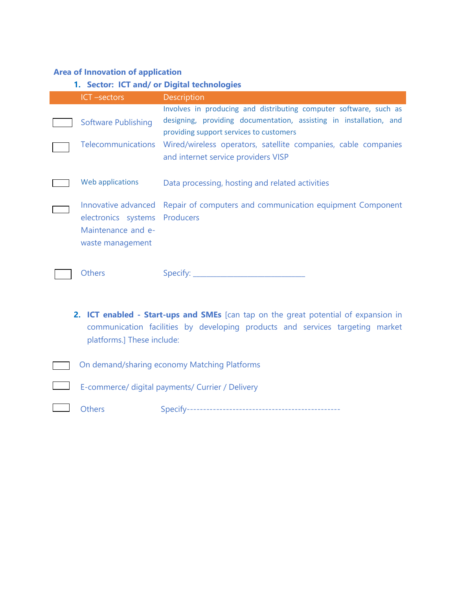## **Area of Innovation of application**

## **1. Sector: ICT and/ or Digital technologies**  ICT –sectors Description Software Publishing Involves in producing and distributing computer software, such as designing, providing documentation, assisting in installation, and providing support services to customers Telecommunications Wired/wireless operators, satellite companies, cable companies and internet service providers VISP Web applications Data processing, hosting and related activities Innovative advanced Repair of computers and communication equipment Component electronics systems Producers Maintenance and ewaste management Others Specify: \_\_\_\_\_\_\_\_\_\_\_\_\_\_\_\_\_\_\_\_\_\_\_\_\_\_\_\_\_\_\_\_\_

- **2. ICT enabled - Start-ups and SMEs** [can tap on the great potential of expansion in communication facilities by developing products and services targeting market platforms.] These include:
- On demand/sharing economy Matching Platforms
	- E-commerce/ digital payments/ Currier / Delivery

- Others Specify-----------------------------------------------